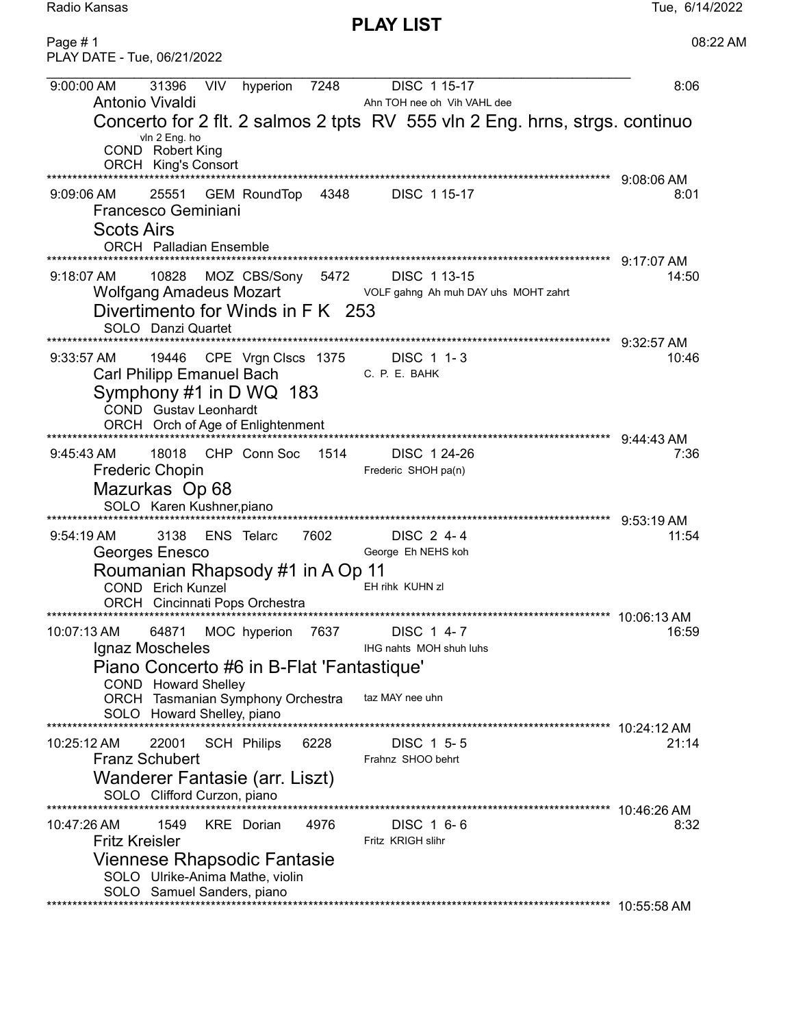PLAY LIST

| Page #1<br>PLAY DATE - Tue, 06/21/2022                                                                                                                                                                                                                             | 08:22 AM             |
|--------------------------------------------------------------------------------------------------------------------------------------------------------------------------------------------------------------------------------------------------------------------|----------------------|
| 31396<br><b>VIV</b><br>7248<br>DISC 1 15-17<br>9:00:00 AM<br>hyperion<br>Antonio Vivaldi<br>Ahn TOH nee oh Vih VAHL dee                                                                                                                                            | 8:06                 |
| Concerto for 2 flt. 2 salmos 2 tpts RV 555 vln 2 Eng. hrns, strgs. continuo<br>vln 2 Eng. ho<br>COND Robert King<br><b>ORCH</b> King's Consort<br>******************************                                                                                   |                      |
| 25551<br>GEM RoundTop 4348 DISC 1 15-17<br>$9:09:06$ AM<br>Francesco Geminiani<br><b>Scots Airs</b><br><b>ORCH</b> Palladian Ensemble                                                                                                                              | $9:08:06$ AM<br>8:01 |
| $9:18:07$ AM<br>10828<br>MOZ CBS/Sony 5472<br>DISC 113-15<br>Wolfgang Amadeus Mozart<br>VOLF gahng Ah muh DAY uhs MOHT zahrt<br>Divertimento for Winds in F K 253<br>SOLO Danzi Quartet                                                                            | 9:17:07 AM<br>14:50  |
| ******************** 9:32:57 AM<br>19446 CPE Vrgn Clscs 1375 DISC 1 1-3<br>$9:33:57$ AM<br>Carl Philipp Emanuel Bach<br>C. P. E. BAHK<br>Symphony #1 in D WQ 183<br><b>COND</b> Gustav Leonhardt                                                                   | 10:46                |
| CHP Conn Soc 1514<br>18018<br>DISC 1 24-26<br>$9:45:43 \text{ AM}$<br><b>Frederic Chopin</b><br>Frederic SHOH pa(n)<br>Mazurkas Op 68<br>SOLO Karen Kushner, piano<br>********************************** 9:53:19 AM                                                | 7:36                 |
| 7602<br>3138<br>ENS Telarc<br>DISC 2 4-4<br>$9:54:19 \text{ AM}$<br>Georges Enesco<br>George Eh NEHS koh<br>Roumanian Rhapsody #1 in A Op 11<br>EH rihk KUHN zl<br>COND Erich Kunzel<br>ORCH Cincinnati Pops Orchestra                                             | 11:54                |
| MOC hyperion<br>10:07:13 AM<br>64871<br>7637<br>DISC 1 4-7<br>Ignaz Moscheles<br>IHG nahts MOH shuh luhs<br>Piano Concerto #6 in B-Flat 'Fantastique'<br>COND Howard Shelley<br>taz MAY nee uhn<br>ORCH Tasmanian Symphony Orchestra<br>SOLO Howard Shelley, piano | 16:59                |
| <b>SCH Philips</b><br>6228<br>10:25:12 AM<br>22001<br>DISC 1 5-5<br><b>Franz Schubert</b><br>Frahnz SHOO behrt<br>Wanderer Fantasie (arr. Liszt)<br>SOLO Clifford Curzon, piano                                                                                    | 10:24:12 AM<br>21:14 |
| 4976<br>10:47:26 AM<br>1549<br><b>KRE</b> Dorian<br>DISC 1 6-6<br><b>Fritz Kreisler</b><br>Fritz KRIGH slihr<br>Viennese Rhapsodic Fantasie<br>SOLO Ulrike-Anima Mathe, violin<br>SOLO Samuel Sanders, piano                                                       | 8:32                 |
|                                                                                                                                                                                                                                                                    |                      |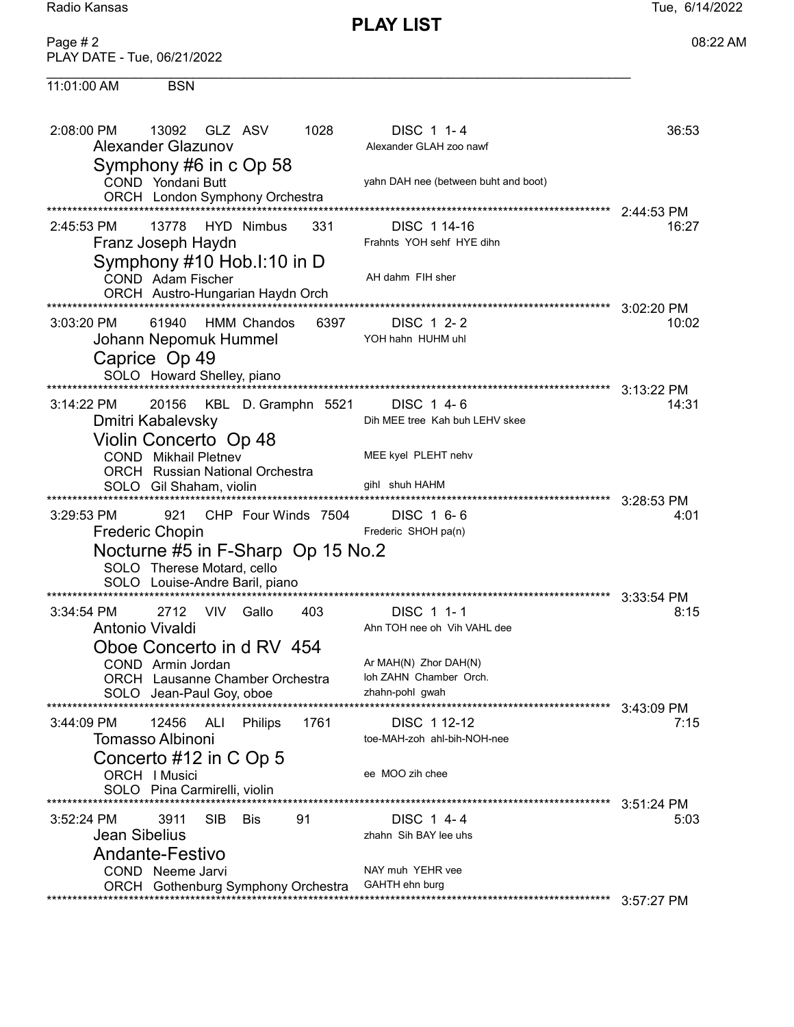11:01:00 AM

**PLAY LIST** 

08:22 AM

| Page $#2$                   |  |
|-----------------------------|--|
| PLAY DATE - Tue, 06/21/2022 |  |

**BSN** 

| 2:08:00 PM<br>Alexander Glazunov                         | 13092                                         | - GLZ ASV  |                                                                     | 1028                              | DISC 1 1-4<br>Alexander GLAH zoo nawf                                        | 36:53              |
|----------------------------------------------------------|-----------------------------------------------|------------|---------------------------------------------------------------------|-----------------------------------|------------------------------------------------------------------------------|--------------------|
|                                                          | COND Yondani Butt                             |            | Symphony #6 in c Op 58<br>ORCH London Symphony Orchestra            |                                   | yahn DAH nee (between buht and boot)<br>****************                     | 2:44:53 PM         |
| 2:45:53 PM<br>Franz Joseph Haydn                         | 13778                                         |            | HYD Nimbus<br>Symphony #10 Hob.I:10 in D                            | 331                               | DISC 1 14-16<br>Frahnts YOH sehf HYE dihn                                    | 16:27              |
|                                                          | COND Adam Fischer                             |            | ORCH Austro-Hungarian Haydn Orch                                    |                                   | AH dahm FIH sher                                                             | 3:02:20 PM         |
| 3:03:20 PM<br>Johann Nepomuk Hummel<br>Caprice Op 49     | 61940<br>SOLO Howard Shelley, piano           |            | <b>HMM Chandos</b>                                                  | 6397                              | DISC 1 2-2<br>YOH hahn HUHM uhl                                              | 10:02              |
|                                                          |                                               |            |                                                                     |                                   |                                                                              | 3:13:22 PM         |
| 3:14:22 PM<br>Dmitri Kabalevsky<br>Violin Concerto Op 48 | 20156                                         |            | KBL D. Gramphn 5521                                                 |                                   | DISC 1 4-6<br>Dih MEE tree Kah buh LEHV skee                                 | 14:31              |
|                                                          | <b>COND</b> Mikhail Pletnev                   |            | <b>ORCH</b> Russian National Orchestra                              |                                   | MEE kyel PLEHT nehv                                                          |                    |
|                                                          | SOLO Gil Shaham, violin                       |            |                                                                     |                                   | gihl shuh HAHM                                                               |                    |
| $3:29:53$ PM<br><b>Frederic Chopin</b>                   | 921                                           |            | CHP Four Winds 7504                                                 |                                   | DISC 1 6-6<br>Frederic SHOH pa(n)                                            | 3:28:53 PM<br>4:01 |
|                                                          | SOLO Therese Motard, cello                    |            | SOLO Louise-Andre Baril, piano                                      | Nocturne #5 in F-Sharp Op 15 No.2 |                                                                              |                    |
| $3:34:54$ PM<br>Antonio Vivaldi                          | 2712                                          | VIV.       | Gallo                                                               | 403                               | DISC 1 1-1<br>Ahn TOH nee oh Vih VAHL dee                                    | 3:33:54 PM<br>8:15 |
|                                                          | COND Armin Jordan<br>SOLO Jean-Paul Goy, oboe |            | Oboe Concerto in d RV 454<br><b>ORCH</b> Lausanne Chamber Orchestra |                                   | Ar MAH(N) Zhor DAH(N)<br>loh ZAHN Chamber Orch.<br>zhahn-pohl gwah           |                    |
| 3:44:09 PM                                               | 12456                                         | <b>ALI</b> | Philips                                                             | 1761                              | DISC 1 12-12                                                                 | 3:43:09 PM<br>7:15 |
| Tomasso Albinoni<br>Concerto #12 in C Op 5               | ORCH   Musici<br>SOLO Pina Carmirelli, violin |            |                                                                     |                                   | toe-MAH-zoh ahl-bih-NOH-nee<br>ee MOO zih chee                               |                    |
| $3:52:24$ PM<br><b>Jean Sibelius</b>                     | 3911                                          | <b>SIB</b> | Bis                                                                 | 91                                | DISC 1 4-4<br>zhahn Sih BAY lee uhs                                          | 3:51:24 PM<br>5:03 |
| <b>Andante-Festivo</b>                                   | COND Neeme Jarvi                              |            | ORCH Gothenburg Symphony Orchestra                                  | ********************************  | NAY muh YEHR vee<br>GAHTH ehn burg<br>************************************** | 3:57:27 PM         |
|                                                          |                                               |            |                                                                     |                                   |                                                                              |                    |